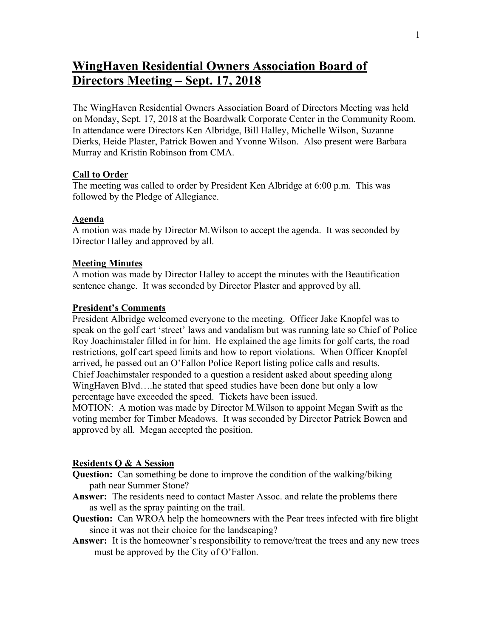# **WingHaven Residential Owners Association Board of Directors Meeting – Sept. 17, 2018**

The WingHaven Residential Owners Association Board of Directors Meeting was held on Monday, Sept. 17, 2018 at the Boardwalk Corporate Center in the Community Room. In attendance were Directors Ken Albridge, Bill Halley, Michelle Wilson, Suzanne Dierks, Heide Plaster, Patrick Bowen and Yvonne Wilson. Also present were Barbara Murray and Kristin Robinson from CMA.

# **Call to Order**

The meeting was called to order by President Ken Albridge at 6:00 p.m. This was followed by the Pledge of Allegiance.

# **Agenda**

A motion was made by Director M.Wilson to accept the agenda. It was seconded by Director Halley and approved by all.

## **Meeting Minutes**

A motion was made by Director Halley to accept the minutes with the Beautification sentence change. It was seconded by Director Plaster and approved by all.

## **President's Comments**

President Albridge welcomed everyone to the meeting. Officer Jake Knopfel was to speak on the golf cart 'street' laws and vandalism but was running late so Chief of Police Roy Joachimstaler filled in for him. He explained the age limits for golf carts, the road restrictions, golf cart speed limits and how to report violations. When Officer Knopfel arrived, he passed out an O'Fallon Police Report listing police calls and results. Chief Joachimstaler responded to a question a resident asked about speeding along WingHaven Blvd….he stated that speed studies have been done but only a low percentage have exceeded the speed. Tickets have been issued.

MOTION: A motion was made by Director M.Wilson to appoint Megan Swift as the voting member for Timber Meadows. It was seconded by Director Patrick Bowen and approved by all. Megan accepted the position.

#### **Residents Q & A Session**

- **Question:** Can something be done to improve the condition of the walking/biking path near Summer Stone?
- **Answer:** The residents need to contact Master Assoc. and relate the problems there as well as the spray painting on the trail.
- **Question:** Can WROA help the homeowners with the Pear trees infected with fire blight since it was not their choice for the landscaping?
- Answer: It is the homeowner's responsibility to remove/treat the trees and any new trees must be approved by the City of O'Fallon.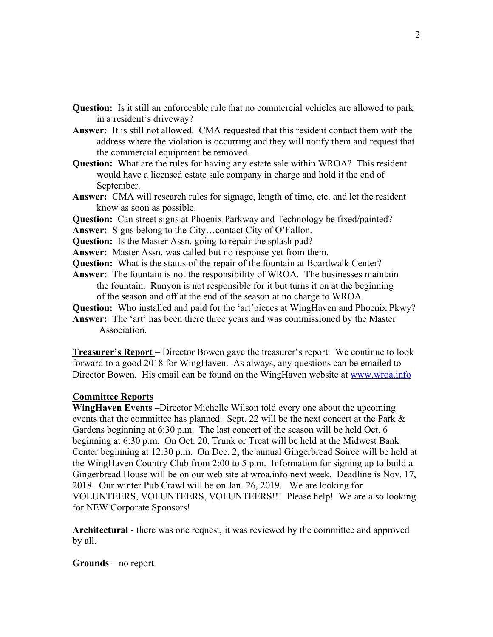- **Question:** Is it still an enforceable rule that no commercial vehicles are allowed to park in a resident's driveway?
- **Answer:** It is still not allowed. CMA requested that this resident contact them with the address where the violation is occurring and they will notify them and request that the commercial equipment be removed.
- **Question:** What are the rules for having any estate sale within WROA? This resident would have a licensed estate sale company in charge and hold it the end of September.
- **Answer:** CMA will research rules for signage, length of time, etc. and let the resident know as soon as possible.
- **Question:** Can street signs at Phoenix Parkway and Technology be fixed/painted?
- **Answer:** Signs belong to the City…contact City of O'Fallon.
- **Question:** Is the Master Assn. going to repair the splash pad?
- **Answer:** Master Assn. was called but no response yet from them.
- **Question:** What is the status of the repair of the fountain at Boardwalk Center?
- **Answer:** The fountain is not the responsibility of WROA. The businesses maintain the fountain. Runyon is not responsible for it but turns it on at the beginning of the season and off at the end of the season at no charge to WROA.

**Question:** Who installed and paid for the 'art'pieces at WingHaven and Phoenix Pkwy?

**Answer:** The 'art' has been there three years and was commissioned by the Master **Association** 

**Treasurer's Report** – Director Bowen gave the treasurer's report. We continue to look forward to a good 2018 for WingHaven. As always, any questions can be emailed to Director Bowen. His email can be found on the WingHaven website at www.wroa.info

# **Committee Reports**

**WingHaven Events –**Director Michelle Wilson told every one about the upcoming events that the committee has planned. Sept. 22 will be the next concert at the Park & Gardens beginning at 6:30 p.m. The last concert of the season will be held Oct. 6 beginning at 6:30 p.m. On Oct. 20, Trunk or Treat will be held at the Midwest Bank Center beginning at 12:30 p.m. On Dec. 2, the annual Gingerbread Soiree will be held at the WingHaven Country Club from 2:00 to 5 p.m. Information for signing up to build a Gingerbread House will be on our web site at wroa.info next week. Deadline is Nov. 17, 2018. Our winter Pub Crawl will be on Jan. 26, 2019. We are looking for VOLUNTEERS, VOLUNTEERS, VOLUNTEERS!!! Please help! We are also looking for NEW Corporate Sponsors!

**Architectural** - there was one request, it was reviewed by the committee and approved by all.

**Grounds** – no report